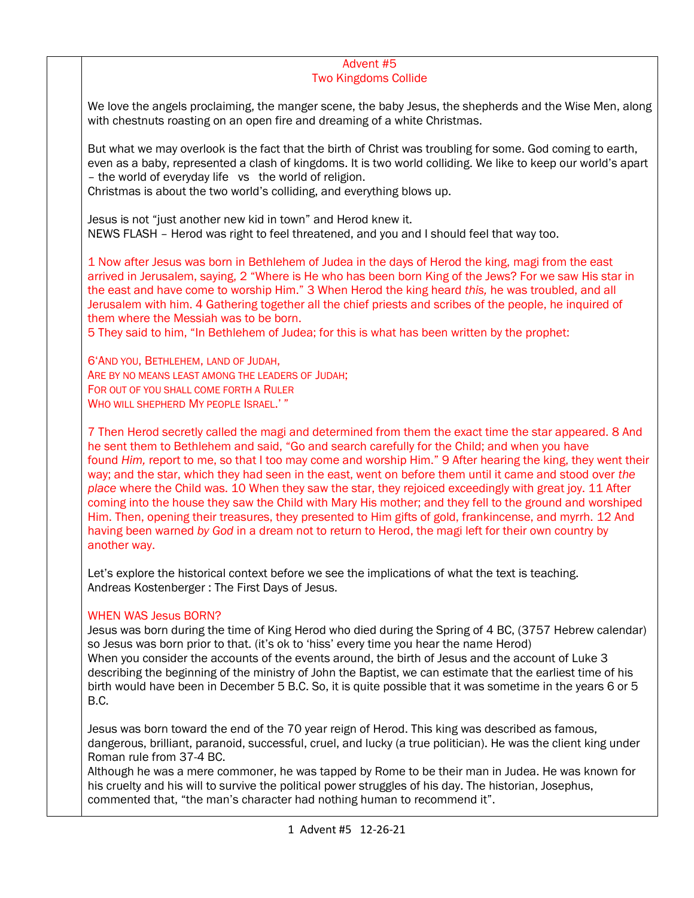#### Advent #5 Two Kingdoms Collide

We love the angels proclaiming, the manger scene, the baby Jesus, the shepherds and the Wise Men, along with chestnuts roasting on an open fire and dreaming of a white Christmas.

But what we may overlook is the fact that the birth of Christ was troubling for some. God coming to earth, even as a baby, represented a clash of kingdoms. It is two world colliding. We like to keep our world's apart – the world of everyday life vs the world of religion.

Christmas is about the two world's colliding, and everything blows up.

Jesus is not "just another new kid in town" and Herod knew it. NEWS FLASH – Herod was right to feel threatened, and you and I should feel that way too.

1 Now after Jesus was born in Bethlehem of Judea in the days of Herod the king, magi from the east arrived in Jerusalem, saying, 2 "Where is He who has been born King of the Jews? For we saw His star in the east and have come to worship Him." 3 When Herod the king heard *this,* he was troubled, and all Jerusalem with him. 4 Gathering together all the chief priests and scribes of the people, he inquired of them where the Messiah was to be born.

5 They said to him, "In Bethlehem of Judea; for this is what has been written by the prophet:

6'AND YOU, BETHLEHEM, LAND OF JUDAH, ARE BY NO MEANS LEAST AMONG THE LEADERS OF JUDAH; FOR OUT OF YOU SHALL COME FORTH A RULER WHO WILL SHEPHERD MY PEOPLE ISRAEL.'"

7 Then Herod secretly called the magi and determined from them the exact time the star appeared. 8 And he sent them to Bethlehem and said, "Go and search carefully for the Child; and when you have found *Him,* report to me, so that I too may come and worship Him." 9 After hearing the king, they went their way; and the star, which they had seen in the east, went on before them until it came and stood over *the place* where the Child was. 10 When they saw the star, they rejoiced exceedingly with great joy. 11 After coming into the house they saw the Child with Mary His mother; and they fell to the ground and worshiped Him. Then, opening their treasures, they presented to Him gifts of gold, frankincense, and myrrh. 12 And having been warned *by God* in a dream not to return to Herod, the magi left for their own country by another way.

Let's explore the historical context before we see the implications of what the text is teaching. Andreas Kostenberger : The First Days of Jesus.

# WHEN WAS Jesus BORN?

Jesus was born during the time of King Herod who died during the Spring of 4 BC, (3757 Hebrew calendar) so Jesus was born prior to that. (it's ok to 'hiss' every time you hear the name Herod) When you consider the accounts of the events around, the birth of Jesus and the account of Luke 3 describing the beginning of the ministry of John the Baptist, we can estimate that the earliest time of his birth would have been in December 5 B.C. So, it is quite possible that it was sometime in the years 6 or 5 B.C.

Jesus was born toward the end of the 70 year reign of Herod. This king was described as famous, dangerous, brilliant, paranoid, successful, cruel, and lucky (a true politician). He was the client king under Roman rule from 37-4 BC.

Although he was a mere commoner, he was tapped by Rome to be their man in Judea. He was known for his cruelty and his will to survive the political power struggles of his day. The historian, Josephus, commented that, "the man's character had nothing human to recommend it".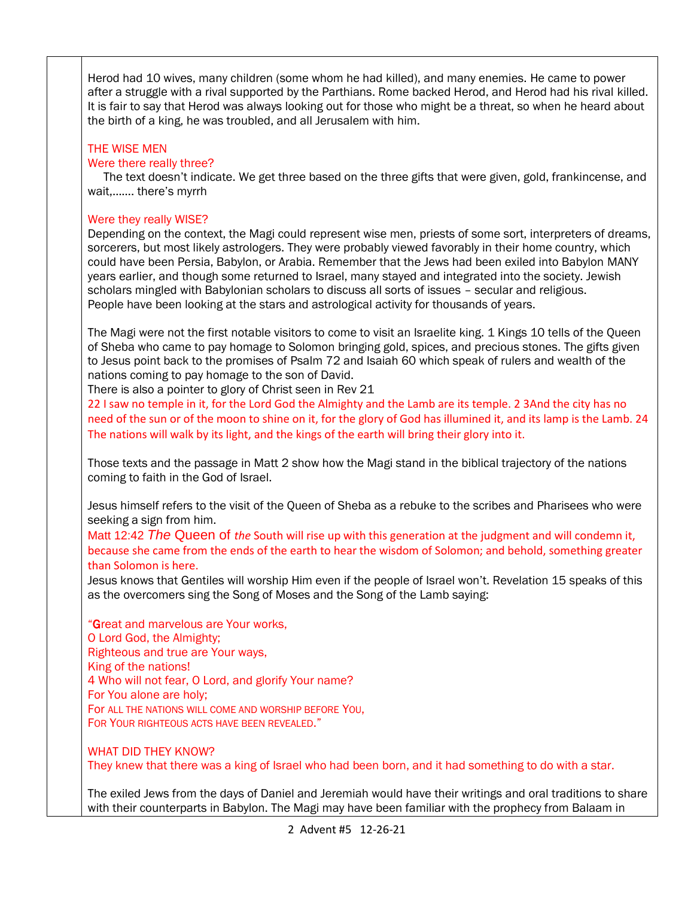Herod had 10 wives, many children (some whom he had killed), and many enemies. He came to power after a struggle with a rival supported by the Parthians. Rome backed Herod, and Herod had his rival killed. It is fair to say that Herod was always looking out for those who might be a threat, so when he heard about the birth of a king, he was troubled, and all Jerusalem with him.

## THE WISE MEN

### Were there really three?

 The text doesn't indicate. We get three based on the three gifts that were given, gold, frankincense, and wait,……. there's myrrh

#### Were they really WISE?

Depending on the context, the Magi could represent wise men, priests of some sort, interpreters of dreams, sorcerers, but most likely astrologers. They were probably viewed favorably in their home country, which could have been Persia, Babylon, or Arabia. Remember that the Jews had been exiled into Babylon MANY years earlier, and though some returned to Israel, many stayed and integrated into the society. Jewish scholars mingled with Babylonian scholars to discuss all sorts of issues – secular and religious. People have been looking at the stars and astrological activity for thousands of years.

The Magi were not the first notable visitors to come to visit an Israelite king. 1 Kings 10 tells of the Queen of Sheba who came to pay homage to Solomon bringing gold, spices, and precious stones. The gifts given to Jesus point back to the promises of Psalm 72 and Isaiah 60 which speak of rulers and wealth of the nations coming to pay homage to the son of David.

There is also a pointer to glory of Christ seen in Rev 21

22 I saw no temple in it, for the Lord God the Almighty and the Lamb are its temple. 2 3And the city has no need of the sun or of the moon to shine on it, for the glory of God has illumined it, and its lamp is the Lamb. 24 The nations will walk by its light, and the kings of the earth will bring their glory into it.

Those texts and the passage in Matt 2 show how the Magi stand in the biblical trajectory of the nations coming to faith in the God of Israel.

Jesus himself refers to the visit of the Queen of Sheba as a rebuke to the scribes and Pharisees who were seeking a sign from him.

Matt 12:42 *The* Queen of *the* South will rise up with this generation at the judgment and will condemn it, because she came from the ends of the earth to hear the wisdom of Solomon; and behold, something greater than Solomon is here.

Jesus knows that Gentiles will worship Him even if the people of Israel won't. Revelation 15 speaks of this as the overcomers sing the Song of Moses and the Song of the Lamb saying:

"Great and marvelous are Your works, O Lord God, the Almighty; Righteous and true are Your ways, King of the nations! 4 Who will not fear, O Lord, and glorify Your name? For You alone are holy; For ALL THE NATIONS WILL COME AND WORSHIP BEFORE YOU, FOR YOUR RIGHTEOUS ACTS HAVE BEEN REVEALED."

WHAT DID THEY KNOW? They knew that there was a king of Israel who had been born, and it had something to do with a star.

The exiled Jews from the days of Daniel and Jeremiah would have their writings and oral traditions to share with their counterparts in Babylon. The Magi may have been familiar with the prophecy from Balaam in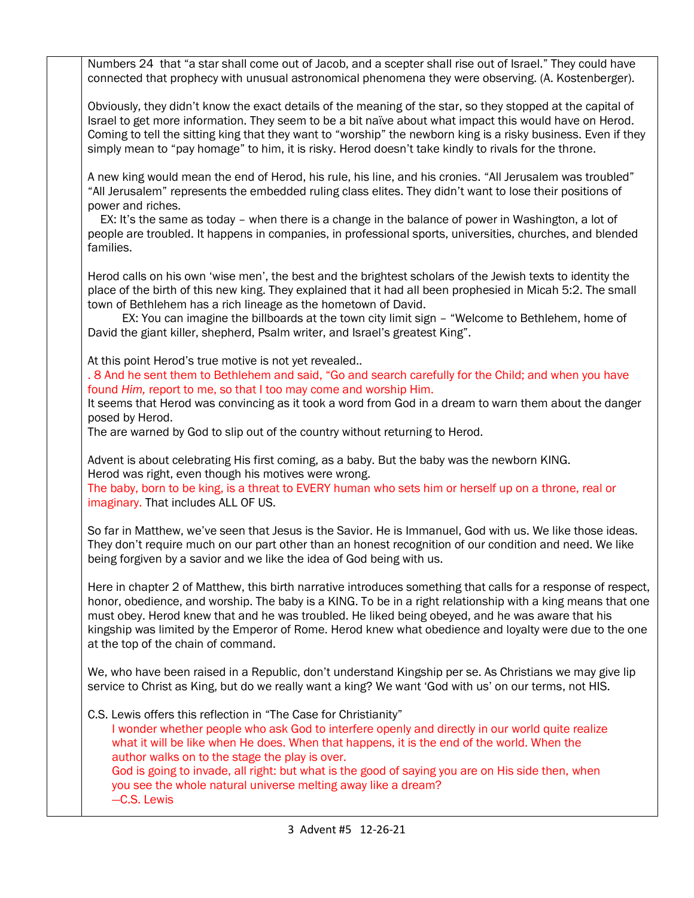Numbers 24 that "a star shall come out of Jacob, and a scepter shall rise out of Israel." They could have connected that prophecy with unusual astronomical phenomena they were observing. (A. Kostenberger). Obviously, they didn't know the exact details of the meaning of the star, so they stopped at the capital of Israel to get more information. They seem to be a bit naïve about what impact this would have on Herod. Coming to tell the sitting king that they want to "worship" the newborn king is a risky business. Even if they simply mean to "pay homage" to him, it is risky. Herod doesn't take kindly to rivals for the throne. A new king would mean the end of Herod, his rule, his line, and his cronies. "All Jerusalem was troubled" "All Jerusalem" represents the embedded ruling class elites. They didn't want to lose their positions of power and riches. EX: It's the same as today – when there is a change in the balance of power in Washington, a lot of people are troubled. It happens in companies, in professional sports, universities, churches, and blended families. Herod calls on his own 'wise men', the best and the brightest scholars of the Jewish texts to identity the place of the birth of this new king. They explained that it had all been prophesied in Micah 5:2. The small town of Bethlehem has a rich lineage as the hometown of David. EX: You can imagine the billboards at the town city limit sign – "Welcome to Bethlehem, home of David the giant killer, shepherd, Psalm writer, and Israel's greatest King". At this point Herod's true motive is not yet revealed.. . 8 And he sent them to Bethlehem and said, "Go and search carefully for the Child; and when you have found *Him,* report to me, so that I too may come and worship Him. It seems that Herod was convincing as it took a word from God in a dream to warn them about the danger posed by Herod. The are warned by God to slip out of the country without returning to Herod. Advent is about celebrating His first coming, as a baby. But the baby was the newborn KING. Herod was right, even though his motives were wrong. The baby, born to be king, is a threat to EVERY human who sets him or herself up on a throne, real or imaginary. That includes ALL OF US. So far in Matthew, we've seen that Jesus is the Savior. He is Immanuel, God with us. We like those ideas. They don't require much on our part other than an honest recognition of our condition and need. We like being forgiven by a savior and we like the idea of God being with us. Here in chapter 2 of Matthew, this birth narrative introduces something that calls for a response of respect, honor, obedience, and worship. The baby is a KING. To be in a right relationship with a king means that one must obey. Herod knew that and he was troubled. He liked being obeyed, and he was aware that his kingship was limited by the Emperor of Rome. Herod knew what obedience and loyalty were due to the one at the top of the chain of command. We, who have been raised in a Republic, don't understand Kingship per se. As Christians we may give lip service to Christ as King, but do we really want a king? We want 'God with us' on our terms, not HIS. C.S. Lewis offers this reflection in "The Case for Christianity" I wonder whether people who ask God to interfere openly and directly in our world quite realize what it will be like when He does. When that happens, it is the end of the world. When the author walks on to the stage the play is over. God is going to invade, all right: but what is the good of saying you are on His side then, when you see the whole natural universe melting away like a dream? —C.S. Lewis